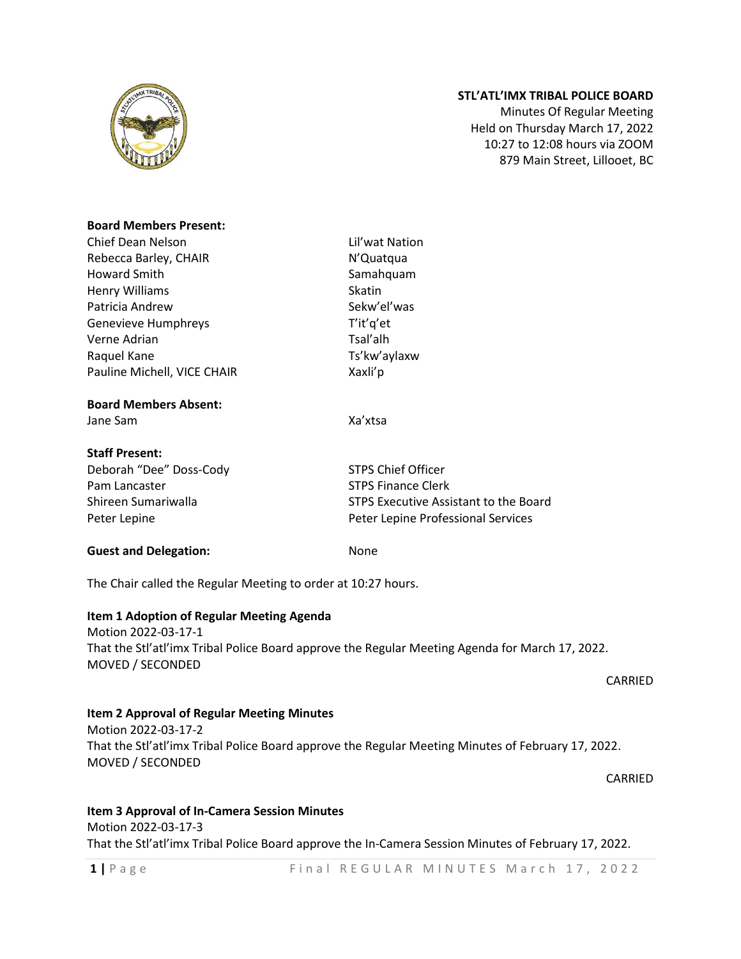

# **STL'ATL'IMX TRIBAL POLICE BOARD**

Minutes Of Regular Meeting Held on Thursday March 17, 2022 10:27 to 12:08 hours via ZOOM 879 Main Street, Lillooet, BC

#### **Board Members Present:**

Chief Dean Nelson Lil'wat Nation Rebecca Barley, CHAIR N'Quatqua Howard Smith Samahquam Henry Williams Skatin Patricia Andrew Sekw'el'was Genevieve Humphreys T'it'q'et Verne Adrian Tsal'alh Raquel Kane Ts'kw'aylaxw Pauline Michell, VICE CHAIR Xaxli'p

### **Board Members Absent:**

Jane Sam Xa'xtsa

### **Staff Present:**

Deborah "Dee" Doss-Cody STPS Chief Officer Pam Lancaster STPS Finance Clerk Peter Lepine Peter Lepine Professional Services

Shireen Sumariwalla STPS Executive Assistant to the Board

#### **Guest and Delegation:** None

The Chair called the Regular Meeting to order at 10:27 hours.

## **Item 1 Adoption of Regular Meeting Agenda**

Motion 2022-03-17-1 That the Stl'atl'imx Tribal Police Board approve the Regular Meeting Agenda for March 17, 2022. MOVED / SECONDED

CARRIED

#### **Item 2 Approval of Regular Meeting Minutes**

Motion 2022-03-17-2 That the Stl'atl'imx Tribal Police Board approve the Regular Meeting Minutes of February 17, 2022. MOVED / SECONDED

CARRIED

# **Item 3 Approval of In-Camera Session Minutes** Motion 2022-03-17-3 That the Stl'atl'imx Tribal Police Board approve the In-Camera Session Minutes of February 17, 2022.

1 | Page Final REGULAR MINUTES March 17, 2022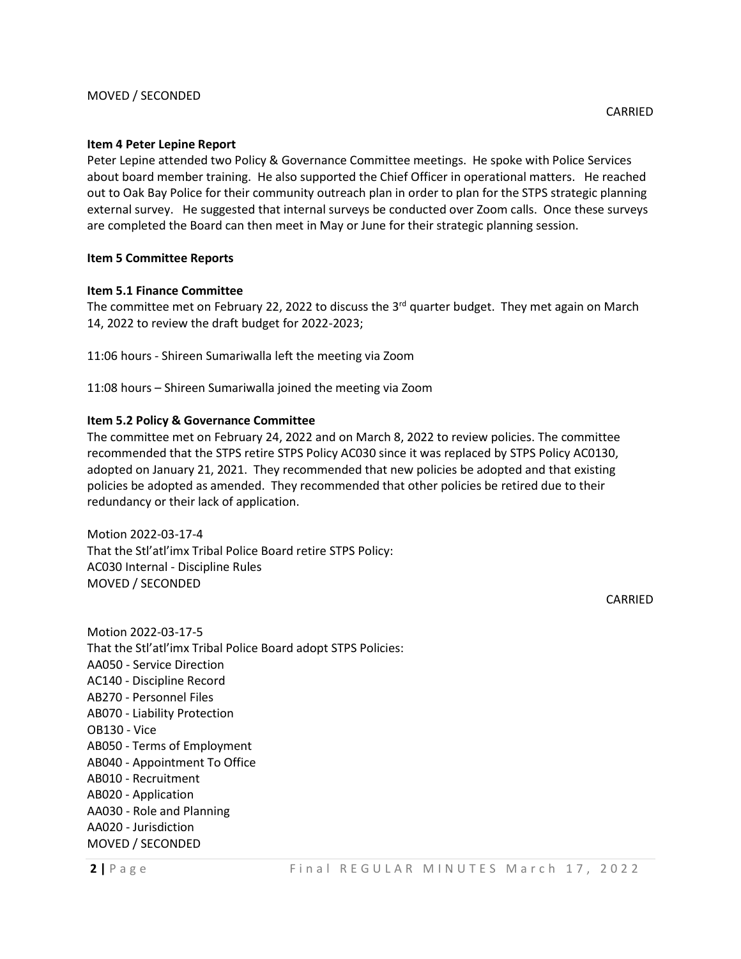#### **Item 4 Peter Lepine Report**

Peter Lepine attended two Policy & Governance Committee meetings. He spoke with Police Services about board member training. He also supported the Chief Officer in operational matters. He reached out to Oak Bay Police for their community outreach plan in order to plan for the STPS strategic planning external survey. He suggested that internal surveys be conducted over Zoom calls. Once these surveys are completed the Board can then meet in May or June for their strategic planning session.

#### **Item 5 Committee Reports**

### **Item 5.1 Finance Committee**

The committee met on February 22, 2022 to discuss the 3<sup>rd</sup> quarter budget. They met again on March 14, 2022 to review the draft budget for 2022-2023;

11:06 hours - Shireen Sumariwalla left the meeting via Zoom

11:08 hours – Shireen Sumariwalla joined the meeting via Zoom

### **Item 5.2 Policy & Governance Committee**

The committee met on February 24, 2022 and on March 8, 2022 to review policies. The committee recommended that the STPS retire STPS Policy AC030 since it was replaced by STPS Policy AC0130, adopted on January 21, 2021. They recommended that new policies be adopted and that existing policies be adopted as amended. They recommended that other policies be retired due to their redundancy or their lack of application.

Motion 2022-03-17-4 That the Stl'atl'imx Tribal Police Board retire STPS Policy: AC030 Internal - Discipline Rules MOVED / SECONDED

CARRIED

Motion 2022-03-17-5 That the Stl'atl'imx Tribal Police Board adopt STPS Policies: AA050 - Service Direction AC140 - Discipline Record AB270 - Personnel Files AB070 - Liability Protection OB130 - Vice AB050 - Terms of Employment AB040 - Appointment To Office AB010 - Recruitment AB020 - Application AA030 - Role and Planning AA020 - Jurisdiction MOVED / SECONDED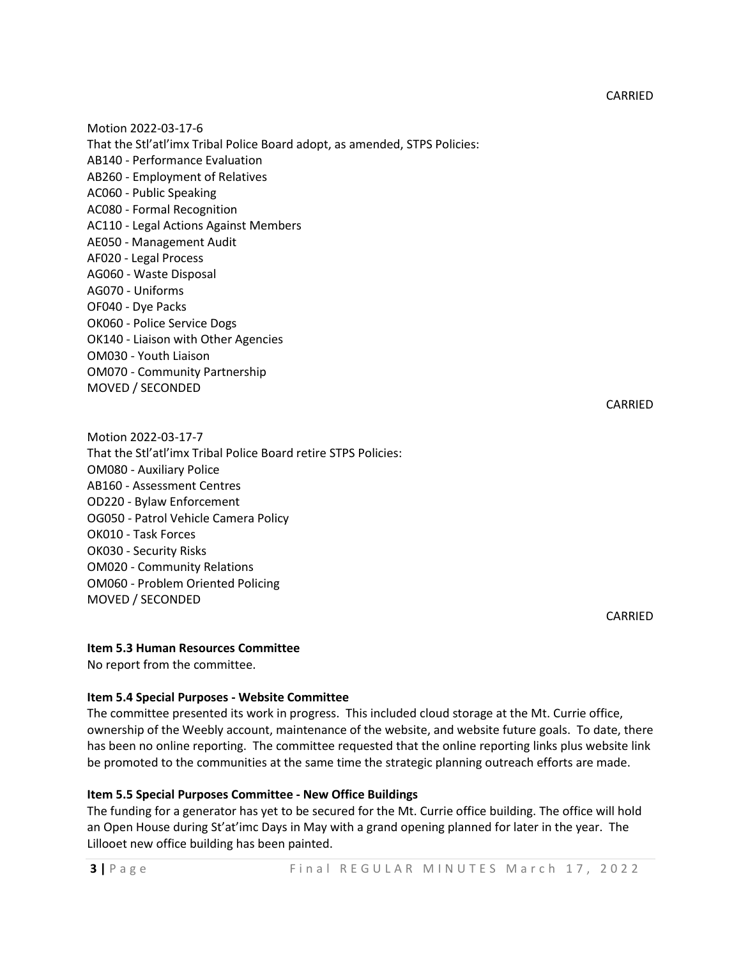Motion 2022-03-17-6 That the Stl'atl'imx Tribal Police Board adopt, as amended, STPS Policies: AB140 - Performance Evaluation AB260 - Employment of Relatives AC060 - Public Speaking AC080 - Formal Recognition AC110 - Legal Actions Against Members AE050 - Management Audit AF020 - Legal Process AG060 - Waste Disposal AG070 - Uniforms OF040 - Dye Packs OK060 - Police Service Dogs OK140 - Liaison with Other Agencies OM030 - Youth Liaison OM070 - Community Partnership MOVED / SECONDED

CARRIED

CARRIED

Motion 2022-03-17-7 That the Stl'atl'imx Tribal Police Board retire STPS Policies: OM080 - Auxiliary Police AB160 - Assessment Centres OD220 - Bylaw Enforcement OG050 - Patrol Vehicle Camera Policy OK010 - Task Forces OK030 - Security Risks OM020 - Community Relations OM060 - Problem Oriented Policing MOVED / SECONDED

#### **Item 5.3 Human Resources Committee**

No report from the committee.

#### **Item 5.4 Special Purposes - Website Committee**

The committee presented its work in progress. This included cloud storage at the Mt. Currie office, ownership of the Weebly account, maintenance of the website, and website future goals. To date, there has been no online reporting. The committee requested that the online reporting links plus website link be promoted to the communities at the same time the strategic planning outreach efforts are made.

## **Item 5.5 Special Purposes Committee - New Office Buildings**

The funding for a generator has yet to be secured for the Mt. Currie office building. The office will hold an Open House during St'at'imc Days in May with a grand opening planned for later in the year. The Lillooet new office building has been painted.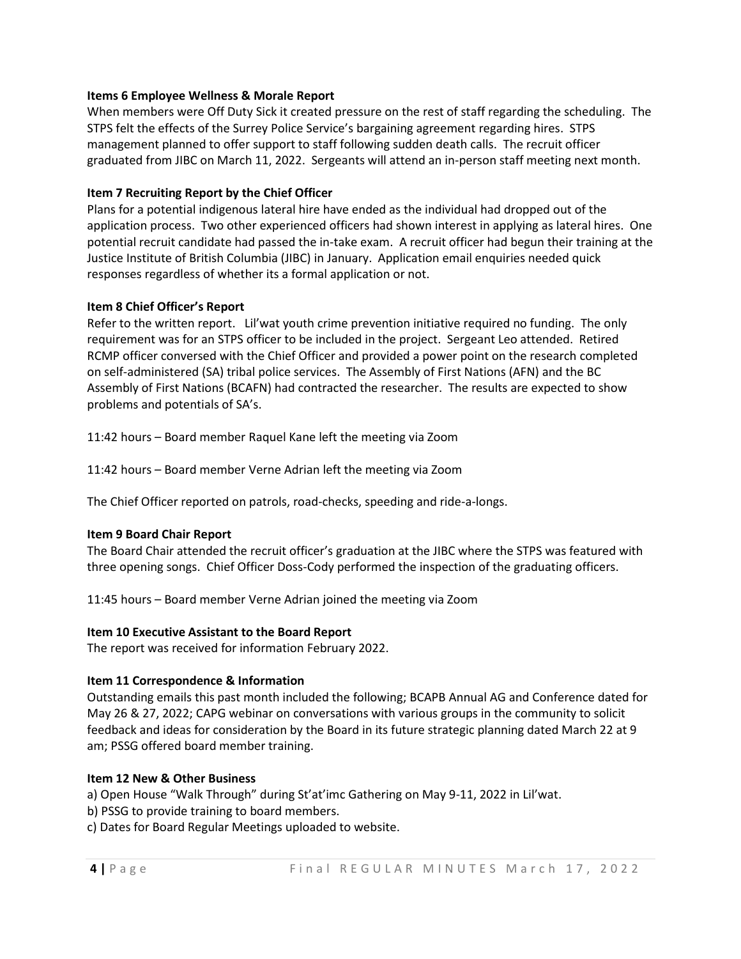# **Items 6 Employee Wellness & Morale Report**

When members were Off Duty Sick it created pressure on the rest of staff regarding the scheduling. The STPS felt the effects of the Surrey Police Service's bargaining agreement regarding hires. STPS management planned to offer support to staff following sudden death calls. The recruit officer graduated from JIBC on March 11, 2022. Sergeants will attend an in-person staff meeting next month.

# **Item 7 Recruiting Report by the Chief Officer**

Plans for a potential indigenous lateral hire have ended as the individual had dropped out of the application process. Two other experienced officers had shown interest in applying as lateral hires. One potential recruit candidate had passed the in-take exam. A recruit officer had begun their training at the Justice Institute of British Columbia (JIBC) in January. Application email enquiries needed quick responses regardless of whether its a formal application or not.

# **Item 8 Chief Officer's Report**

Refer to the written report. Lil'wat youth crime prevention initiative required no funding. The only requirement was for an STPS officer to be included in the project. Sergeant Leo attended. Retired RCMP officer conversed with the Chief Officer and provided a power point on the research completed on self-administered (SA) tribal police services. The Assembly of First Nations (AFN) and the BC Assembly of First Nations (BCAFN) had contracted the researcher. The results are expected to show problems and potentials of SA's.

11:42 hours – Board member Raquel Kane left the meeting via Zoom

11:42 hours – Board member Verne Adrian left the meeting via Zoom

The Chief Officer reported on patrols, road-checks, speeding and ride-a-longs.

# **Item 9 Board Chair Report**

The Board Chair attended the recruit officer's graduation at the JIBC where the STPS was featured with three opening songs. Chief Officer Doss-Cody performed the inspection of the graduating officers.

11:45 hours – Board member Verne Adrian joined the meeting via Zoom

## **Item 10 Executive Assistant to the Board Report**

The report was received for information February 2022.

## **Item 11 Correspondence & Information**

Outstanding emails this past month included the following; BCAPB Annual AG and Conference dated for May 26 & 27, 2022; CAPG webinar on conversations with various groups in the community to solicit feedback and ideas for consideration by the Board in its future strategic planning dated March 22 at 9 am; PSSG offered board member training.

# **Item 12 New & Other Business**

a) Open House "Walk Through" during St'at'imc Gathering on May 9-11, 2022 in Lil'wat.

- b) PSSG to provide training to board members.
- c) Dates for Board Regular Meetings uploaded to website.